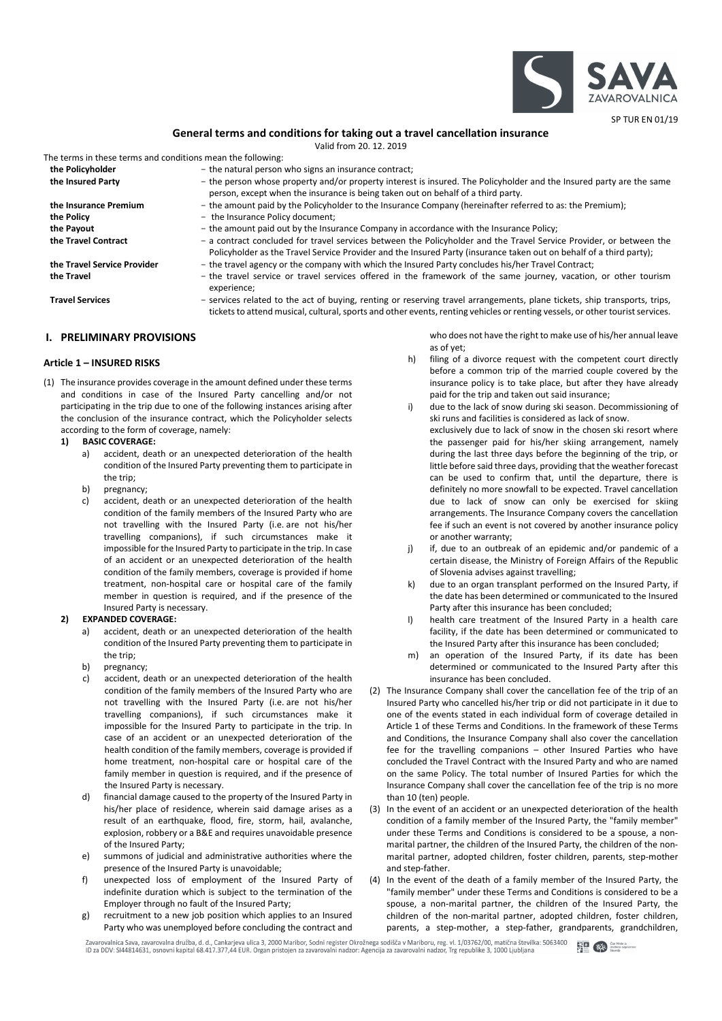

## **General terms and conditions for taking out a travel cancellation insurance**

Valid from 20. 12. 2019

The terms in these terms and conditions mean the following:<br>the Policyholder - the natural person

- 
- **the Policyholder**  $-$  the natural person who signs an insurance contract;<br> **the Insured Party**  $-$  the person whose property and/or property interes - the person whose property and/or property interest is insured. The Policyholder and the Insured party are the same person, except when the insurance is being taken out on behalf of a third party.
- **the Insurance Premium** the amount paid by the Policyholder to the Insurance Company (hereinafter referred to as: the Premium);<br>
the Policy **-** the Insurance Policy document;
- **the Policy** the Insurance Policy document;<br>
the Payout the amount paid out by the Insur
- the Payout<br>
 the amount paid out by the Insurance Company in accordance with the Insurance Policy;<br>
 a contract concluded for travel services between the Policyholder and the Travel Service
	- a contract concluded for travel services between the Policyholder and the Travel Service Provider, or between the Policyholder as the Travel Service Provider and the Insured Party (insurance taken out on behalf of a third party);
- **the Travel Service Provider** the travel agency or the company with which the Insured Party concludes his/her Travel Contract;<br>
 the travel service or travel services offered in the framework of the same journey, vacati
	- the travel service or travel services offered in the framework of the same journey, vacation, or other tourism experience;
- Travel Services **Figure 3** services related to the act of buying, renting or reserving travel arrangements, plane tickets, ship transports, trips, tickets to attend musical, cultural, sports and other events, renting vehicles or renting vessels, or other tourist services.

## **I. PRELIMINARY PROVISIONS**

## **Article 1 – INSURED RISKS**

(1) The insurance provides coverage in the amount defined under these terms and conditions in case of the Insured Party cancelling and/or not participating in the trip due to one of the following instances arising after the conclusion of the insurance contract, which the Policyholder selects according to the form of coverage, namely:

#### **1) BASIC COVERAGE:**

- a) accident, death or an unexpected deterioration of the health condition of the Insured Party preventing them to participate in the trip;
- b) pregnancy;
- c) accident, death or an unexpected deterioration of the health condition of the family members of the Insured Party who are not travelling with the Insured Party (i.e. are not his/her travelling companions), if such circumstances make it impossible for the Insured Party to participate in the trip. In case of an accident or an unexpected deterioration of the health condition of the family members, coverage is provided if home treatment, non-hospital care or hospital care of the family member in question is required, and if the presence of the Insured Party is necessary.

#### **2) EXPANDED COVERAGE:**

- a) accident, death or an unexpected deterioration of the health condition of the Insured Party preventing them to participate in the trip;
- b) pregnancy;
- c) accident, death or an unexpected deterioration of the health condition of the family members of the Insured Party who are not travelling with the Insured Party (i.e. are not his/her travelling companions), if such circumstances make it impossible for the Insured Party to participate in the trip. In case of an accident or an unexpected deterioration of the health condition of the family members, coverage is provided if home treatment, non-hospital care or hospital care of the family member in question is required, and if the presence of the Insured Party is necessary.
- d) financial damage caused to the property of the Insured Party in his/her place of residence, wherein said damage arises as a result of an earthquake, flood, fire, storm, hail, avalanche, explosion, robbery or a B&E and requires unavoidable presence of the Insured Party;
- e) summons of judicial and administrative authorities where the presence of the Insured Party is unavoidable;
- f) unexpected loss of employment of the Insured Party of indefinite duration which is subject to the termination of the Employer through no fault of the Insured Party;
- g) recruitment to a new job position which applies to an Insured Party who was unemployed before concluding the contract and

who does not have the right to make use of his/her annual leave as of yet;

- h) filing of a divorce request with the competent court directly before a common trip of the married couple covered by the insurance policy is to take place, but after they have already paid for the trip and taken out said insurance;
- i) due to the lack of snow during ski season. Decommissioning of ski runs and facilities is considered as lack of snow. exclusively due to lack of snow in the chosen ski resort where the passenger paid for his/her skiing arrangement, namely during the last three days before the beginning of the trip, or little before said three days, providing that the weather forecast can be used to confirm that, until the departure, there is definitely no more snowfall to be expected. Travel cancellation due to lack of snow can only be exercised for skiing arrangements. The Insurance Company covers the cancellation fee if such an event is not covered by another insurance policy or another warranty;
- j) if, due to an outbreak of an epidemic and/or pandemic of a certain disease, the Ministry of Foreign Affairs of the Republic of Slovenia advises against travelling;
- k) due to an organ transplant performed on the Insured Party, if the date has been determined or communicated to the Insured Party after this insurance has been concluded;
- l) health care treatment of the Insured Party in a health care facility, if the date has been determined or communicated to the Insured Party after this insurance has been concluded;
- m) an operation of the Insured Party, if its date has been determined or communicated to the Insured Party after this insurance has been concluded.
- (2) The Insurance Company shall cover the cancellation fee of the trip of an Insured Party who cancelled his/her trip or did not participate in it due to one of the events stated in each individual form of coverage detailed in Article 1 of these Terms and Conditions. In the framework of these Terms and Conditions, the Insurance Company shall also cover the cancellation fee for the travelling companions – other Insured Parties who have concluded the Travel Contract with the Insured Party and who are named on the same Policy. The total number of Insured Parties for which the Insurance Company shall cover the cancellation fee of the trip is no more than 10 (ten) people.
- (3) In the event of an accident or an unexpected deterioration of the health condition of a family member of the Insured Party, the "family member" under these Terms and Conditions is considered to be a spouse, a nonmarital partner, the children of the Insured Party, the children of the nonmarital partner, adopted children, foster children, parents, step-mother and step-father.
- (4) In the event of the death of a family member of the Insured Party, the "family member" under these Terms and Conditions is considered to be a spouse, a non-marital partner, the children of the Insured Party, the children of the non-marital partner, adopted children, foster children, parents, a step-mother, a step-father, grandparents, grandchildren,

Zavarovalnica Sava, zavarovalna družba, d. d., Cankarjeva ulica 3, 2000 Maribor, Sodni register Okrožnega sodišča v Mariboru, reg. vl. 1/03762/00, matična številka: 5063400<br>ID za DDV: SI44814631, osnovni kapital 68.417.377 **TALK**<br> **All Can Media to**<br> **Slovenile**<br>
Slovenile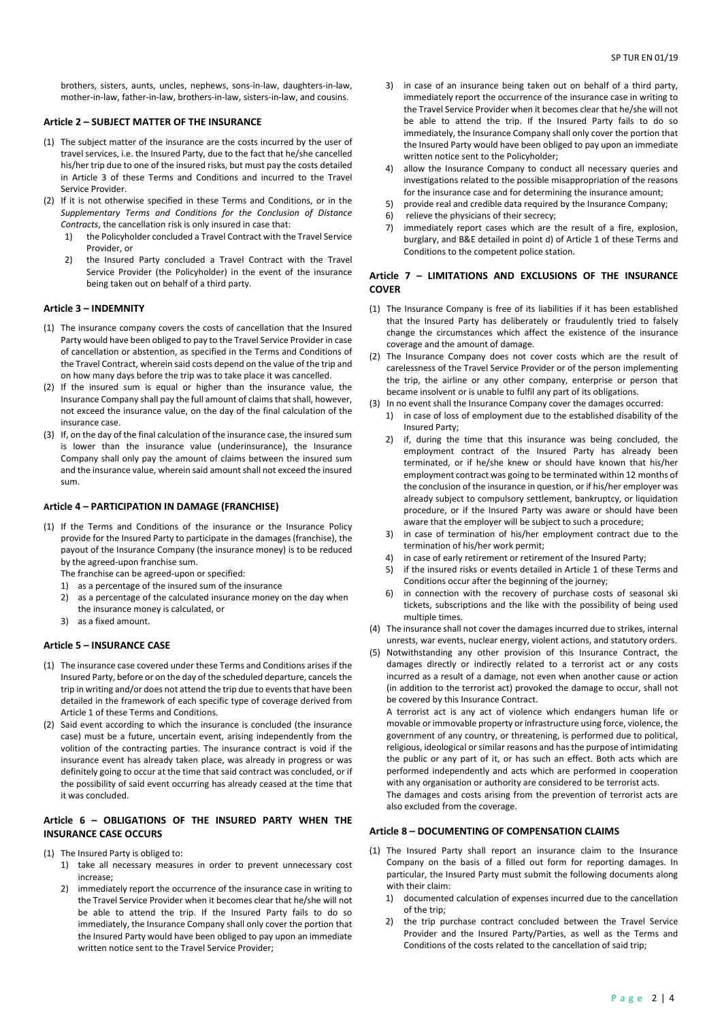brothers, sisters, aunts, uncles, nephews, sons-in-law, daughters-in-law, mother-in-law, father-in-law, brothers-in-law, sisters-in-law, and cousins.

### **Article 2 – SUBJECT MATTER OF THE INSURANCE**

- (1) The subject matter of the insurance are the costs incurred by the user of travel services, i.e. the Insured Party, due to the fact that he/she cancelled his/her trip due to one of the insured risks, but must pay the costs detailed in Article 3 of these Terms and Conditions and incurred to the Travel Service Provider.
- (2) If it is not otherwise specified in these Terms and Conditions, or in the *Supplementary Terms and Conditions for the Conclusion of Distance Contracts*, the cancellation risk is only insured in case that:
	- 1) the Policyholder concluded a Travel Contract with the Travel Service Provider, or
	- 2) the Insured Party concluded a Travel Contract with the Travel Service Provider (the Policyholder) in the event of the insurance being taken out on behalf of a third party.

#### **Article 3 – INDEMNITY**

- (1) The insurance company covers the costs of cancellation that the Insured Party would have been obliged to pay to the Travel Service Provider in case of cancellation or abstention, as specified in the Terms and Conditions of the Travel Contract, wherein said costs depend on the value of the trip and on how many days before the trip was to take place it was cancelled.
- (2) If the insured sum is equal or higher than the insurance value, the Insurance Company shall pay the full amount of claims that shall, however, not exceed the insurance value, on the day of the final calculation of the insurance case.
- (3) If, on the day of the final calculation of the insurance case, the insured sum is lower than the insurance value (underinsurance), the Insurance Company shall only pay the amount of claims between the insured sum and the insurance value, wherein said amount shall not exceed the insured sum.

#### **Article 4 – PARTICIPATION IN DAMAGE (FRANCHISE)**

(1) If the Terms and Conditions of the insurance or the Insurance Policy provide for the Insured Party to participate in the damages (franchise), the payout of the Insurance Company (the insurance money) is to be reduced by the agreed-upon franchise sum.

The franchise can be agreed-upon or specified:

- 1) as a percentage of the insured sum of the insurance
- 2) as a percentage of the calculated insurance money on the day when the insurance money is calculated, or
- 3) as a fixed amount.

### **Article 5 – INSURANCE CASE**

- (1) The insurance case covered under these Terms and Conditions arises if the Insured Party, before or on the day of the scheduled departure, cancels the trip in writing and/or does not attend the trip due to events that have been detailed in the framework of each specific type of coverage derived from Article 1 of these Terms and Conditions.
- (2) Said event according to which the insurance is concluded (the insurance case) must be a future, uncertain event, arising independently from the volition of the contracting parties. The insurance contract is void if the insurance event has already taken place, was already in progress or was definitely going to occur at the time that said contract was concluded, or if the possibility of said event occurring has already ceased at the time that it was concluded.

## **Article 6 – OBLIGATIONS OF THE INSURED PARTY WHEN THE INSURANCE CASE OCCURS**

- (1) The Insured Party is obliged to:
	- 1) take all necessary measures in order to prevent unnecessary cost increase;
	- 2) immediately report the occurrence of the insurance case in writing to the Travel Service Provider when it becomes clear that he/she will not be able to attend the trip. If the Insured Party fails to do so immediately, the Insurance Company shall only cover the portion that the Insured Party would have been obliged to pay upon an immediate written notice sent to the Travel Service Provider;
- 3) in case of an insurance being taken out on behalf of a third party, immediately report the occurrence of the insurance case in writing to the Travel Service Provider when it becomes clear that he/she will not be able to attend the trip. If the Insured Party fails to do so immediately, the Insurance Company shall only cover the portion that the Insured Party would have been obliged to pay upon an immediate written notice sent to the Policyholder;
- 4) allow the Insurance Company to conduct all necessary queries and investigations related to the possible misappropriation of the reasons for the insurance case and for determining the insurance amount;
- 5) provide real and credible data required by the Insurance Company;
- 6) relieve the physicians of their secrecy;
- 7) immediately report cases which are the result of a fire, explosion, burglary, and B&E detailed in point d) of Article 1 of these Terms and Conditions to the competent police station.

## **Article 7 – LIMITATIONS AND EXCLUSIONS OF THE INSURANCE COVER**

- (1) The Insurance Company is free of its liabilities if it has been established that the Insured Party has deliberately or fraudulently tried to falsely change the circumstances which affect the existence of the insurance coverage and the amount of damage.
- (2) The Insurance Company does not cover costs which are the result of carelessness of the Travel Service Provider or of the person implementing the trip, the airline or any other company, enterprise or person that became insolvent or is unable to fulfil any part of its obligations.
- (3) In no event shall the Insurance Company cover the damages occurred:
	- 1) in case of loss of employment due to the established disability of the Insured Party;
	- 2) if, during the time that this insurance was being concluded, the employment contract of the Insured Party has already been terminated, or if he/she knew or should have known that his/her employment contract was going to be terminated within 12 months of the conclusion of the insurance in question, or if his/her employer was already subject to compulsory settlement, bankruptcy, or liquidation procedure, or if the Insured Party was aware or should have been aware that the employer will be subject to such a procedure;
	- 3) in case of termination of his/her employment contract due to the termination of his/her work permit;
	- 4) in case of early retirement or retirement of the Insured Party;
	- 5) if the insured risks or events detailed in Article 1 of these Terms and Conditions occur after the beginning of the journey;
	- 6) in connection with the recovery of purchase costs of seasonal ski tickets, subscriptions and the like with the possibility of being used multiple times.
- (4) The insurance shall not cover the damages incurred due to strikes, internal unrests, war events, nuclear energy, violent actions, and statutory orders.
- (5) Notwithstanding any other provision of this Insurance Contract, the damages directly or indirectly related to a terrorist act or any costs incurred as a result of a damage, not even when another cause or action (in addition to the terrorist act) provoked the damage to occur, shall not be covered by this Insurance Contract.

A terrorist act is any act of violence which endangers human life or movable or immovable property or infrastructure using force, violence, the government of any country, or threatening, is performed due to political, religious, ideological or similar reasons and has the purpose of intimidating the public or any part of it, or has such an effect. Both acts which are performed independently and acts which are performed in cooperation with any organisation or authority are considered to be terrorist acts.

The damages and costs arising from the prevention of terrorist acts are also excluded from the coverage.

### **Article 8 – DOCUMENTING OF COMPENSATION CLAIMS**

- (1) The Insured Party shall report an insurance claim to the Insurance Company on the basis of a filled out form for reporting damages. In particular, the Insured Party must submit the following documents along with their claim:
	- 1) documented calculation of expenses incurred due to the cancellation of the trip;
	- 2) the trip purchase contract concluded between the Travel Service Provider and the Insured Party/Parties, as well as the Terms and Conditions of the costs related to the cancellation of said trip;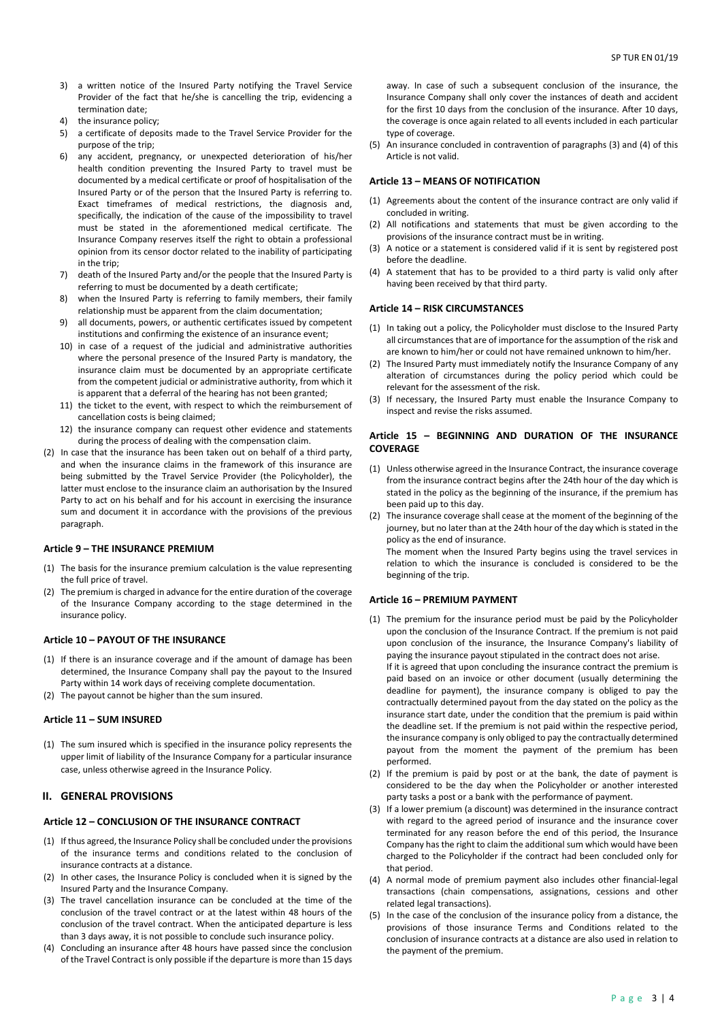- 3) a written notice of the Insured Party notifying the Travel Service Provider of the fact that he/she is cancelling the trip, evidencing a termination date;
- 4) the insurance policy;
- 5) a certificate of deposits made to the Travel Service Provider for the purpose of the trip;
- 6) any accident, pregnancy, or unexpected deterioration of his/her health condition preventing the Insured Party to travel must be documented by a medical certificate or proof of hospitalisation of the Insured Party or of the person that the Insured Party is referring to. Exact timeframes of medical restrictions, the diagnosis and, specifically, the indication of the cause of the impossibility to travel must be stated in the aforementioned medical certificate. The Insurance Company reserves itself the right to obtain a professional opinion from its censor doctor related to the inability of participating in the trip;
- 7) death of the Insured Party and/or the people that the Insured Party is referring to must be documented by a death certificate;
- 8) when the Insured Party is referring to family members, their family relationship must be apparent from the claim documentation;
- 9) all documents, powers, or authentic certificates issued by competent institutions and confirming the existence of an insurance event;
- 10) in case of a request of the judicial and administrative authorities where the personal presence of the Insured Party is mandatory, the insurance claim must be documented by an appropriate certificate from the competent judicial or administrative authority, from which it is apparent that a deferral of the hearing has not been granted;
- 11) the ticket to the event, with respect to which the reimbursement of cancellation costs is being claimed;
- 12) the insurance company can request other evidence and statements during the process of dealing with the compensation claim.
- (2) In case that the insurance has been taken out on behalf of a third party, and when the insurance claims in the framework of this insurance are being submitted by the Travel Service Provider (the Policyholder), the latter must enclose to the insurance claim an authorisation by the Insured Party to act on his behalf and for his account in exercising the insurance sum and document it in accordance with the provisions of the previous paragraph.

### **Article 9 – THE INSURANCE PREMIUM**

- (1) The basis for the insurance premium calculation is the value representing the full price of travel.
- (2) The premium is charged in advance for the entire duration of the coverage of the Insurance Company according to the stage determined in the insurance policy.

### **Article 10 – PAYOUT OF THE INSURANCE**

- (1) If there is an insurance coverage and if the amount of damage has been determined, the Insurance Company shall pay the payout to the Insured Party within 14 work days of receiving complete documentation.
- (2) The payout cannot be higher than the sum insured.

#### **Article 11 – SUM INSURED**

(1) The sum insured which is specified in the insurance policy represents the upper limit of liability of the Insurance Company for a particular insurance case, unless otherwise agreed in the Insurance Policy.

## **II. GENERAL PROVISIONS**

### **Article 12 – CONCLUSION OF THE INSURANCE CONTRACT**

- (1) If thus agreed, the Insurance Policy shall be concluded under the provisions of the insurance terms and conditions related to the conclusion of insurance contracts at a distance.
- (2) In other cases, the Insurance Policy is concluded when it is signed by the Insured Party and the Insurance Company.
- (3) The travel cancellation insurance can be concluded at the time of the conclusion of the travel contract or at the latest within 48 hours of the conclusion of the travel contract. When the anticipated departure is less than 3 days away, it is not possible to conclude such insurance policy.
- (4) Concluding an insurance after 48 hours have passed since the conclusion of the Travel Contract is only possible if the departure is more than 15 days

away. In case of such a subsequent conclusion of the insurance, the Insurance Company shall only cover the instances of death and accident for the first 10 days from the conclusion of the insurance. After 10 days, the coverage is once again related to all events included in each particular type of coverage.

(5) An insurance concluded in contravention of paragraphs (3) and (4) of this Article is not valid.

## **Article 13 – MEANS OF NOTIFICATION**

- (1) Agreements about the content of the insurance contract are only valid if concluded in writing.
- (2) All notifications and statements that must be given according to the provisions of the insurance contract must be in writing.
- (3) A notice or a statement is considered valid if it is sent by registered post before the deadline.
- (4) A statement that has to be provided to a third party is valid only after having been received by that third party.

#### **Article 14 – RISK CIRCUMSTANCES**

- (1) In taking out a policy, the Policyholder must disclose to the Insured Party all circumstances that are of importance for the assumption of the risk and are known to him/her or could not have remained unknown to him/her.
- (2) The Insured Party must immediately notify the Insurance Company of any alteration of circumstances during the policy period which could be relevant for the assessment of the risk.
- (3) If necessary, the Insured Party must enable the Insurance Company to inspect and revise the risks assumed.

## **Article 15 – BEGINNING AND DURATION OF THE INSURANCE COVERAGE**

- (1) Unless otherwise agreed in the Insurance Contract, the insurance coverage from the insurance contract begins after the 24th hour of the day which is stated in the policy as the beginning of the insurance, if the premium has been paid up to this day.
- (2) The insurance coverage shall cease at the moment of the beginning of the journey, but no later than at the 24th hour of the day which is stated in the policy as the end of insurance.

The moment when the Insured Party begins using the travel services in relation to which the insurance is concluded is considered to be the beginning of the trip.

#### **Article 16 – PREMIUM PAYMENT**

(1) The premium for the insurance period must be paid by the Policyholder upon the conclusion of the Insurance Contract. If the premium is not paid upon conclusion of the insurance, the Insurance Company's liability of paying the insurance payout stipulated in the contract does not arise.

If it is agreed that upon concluding the insurance contract the premium is paid based on an invoice or other document (usually determining the deadline for payment), the insurance company is obliged to pay the contractually determined payout from the day stated on the policy as the insurance start date, under the condition that the premium is paid within the deadline set. If the premium is not paid within the respective period, the insurance company is only obliged to pay the contractually determined payout from the moment the payment of the premium has been performed.

- (2) If the premium is paid by post or at the bank, the date of payment is considered to be the day when the Policyholder or another interested party tasks a post or a bank with the performance of payment.
- (3) If a lower premium (a discount) was determined in the insurance contract with regard to the agreed period of insurance and the insurance cover terminated for any reason before the end of this period, the Insurance Company has the right to claim the additional sum which would have been charged to the Policyholder if the contract had been concluded only for that period.
- (4) A normal mode of premium payment also includes other financial-legal transactions (chain compensations, assignations, cessions and other related legal transactions).
- (5) In the case of the conclusion of the insurance policy from a distance, the provisions of those insurance Terms and Conditions related to the conclusion of insurance contracts at a distance are also used in relation to the payment of the premium.